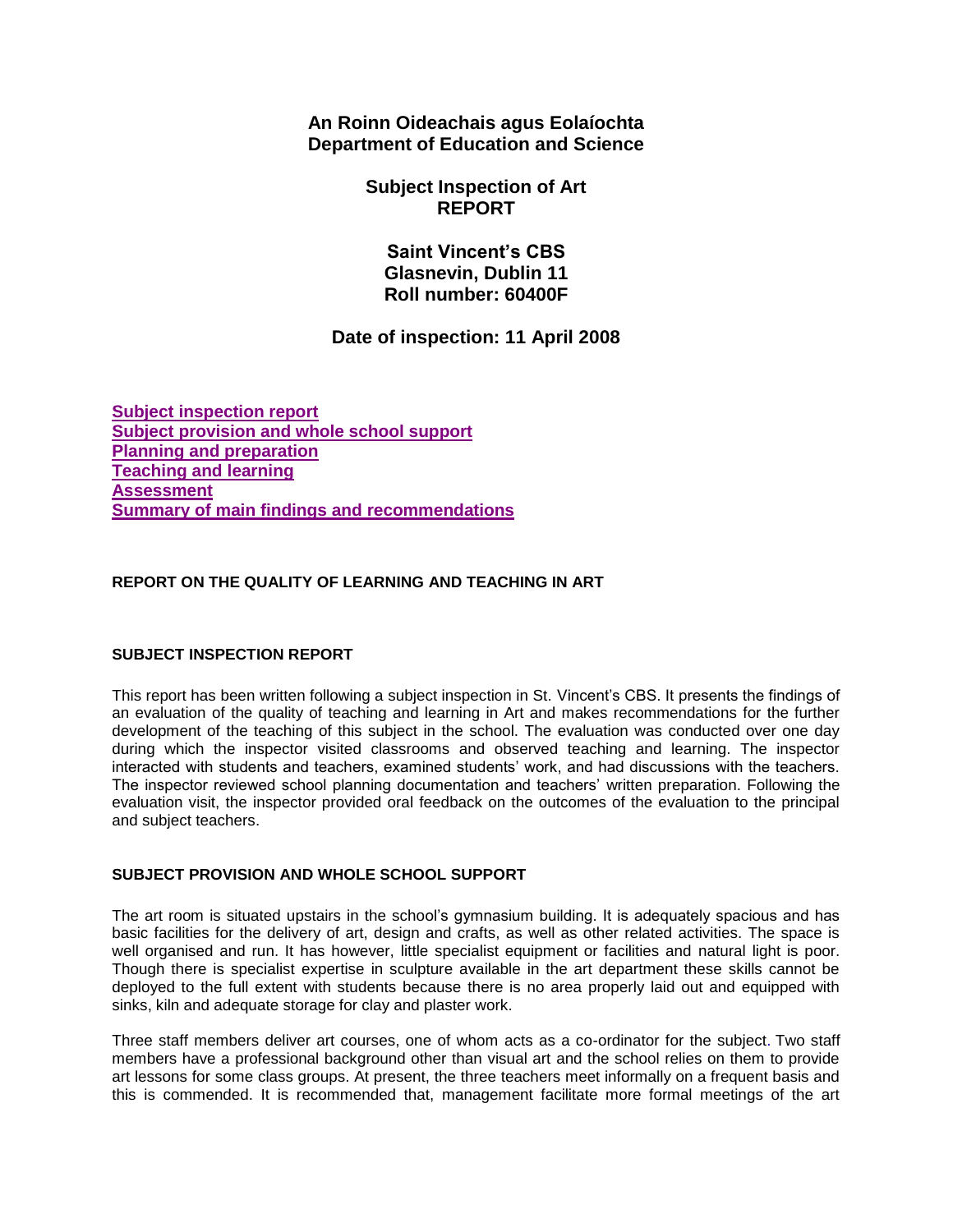**An Roinn Oideachais agus Eolaíochta Department of Education and Science**

> **Subject Inspection of Art REPORT**

**Saint Vincent's CBS Glasnevin, Dublin 11 Roll number: 60400F**

# **Date of inspection: 11 April 2008**

**[Subject inspection report](http://www.education.ie/en/Publications/Inspection-Reports-Publications/Subject-Inspection-Reports-List/report2_60400F.htm#_Toc214180974) [Subject provision and whole school support](http://www.education.ie/en/Publications/Inspection-Reports-Publications/Subject-Inspection-Reports-List/report2_60400F.htm#_Toc214180975) [Planning and preparation](http://www.education.ie/en/Publications/Inspection-Reports-Publications/Subject-Inspection-Reports-List/report2_60400F.htm#_Toc214180976) [Teaching and learning](http://www.education.ie/en/Publications/Inspection-Reports-Publications/Subject-Inspection-Reports-List/report2_60400F.htm#_Toc214180977) [Assessment](http://www.education.ie/en/Publications/Inspection-Reports-Publications/Subject-Inspection-Reports-List/report2_60400F.htm#_Toc214180978) [Summary of main findings and recommendations](http://www.education.ie/en/Publications/Inspection-Reports-Publications/Subject-Inspection-Reports-List/report2_60400F.htm#_Toc214180979)**

# **REPORT ON THE QUALITY OF LEARNING AND TEACHING IN ART**

# **SUBJECT INSPECTION REPORT**

This report has been written following a subject inspection in St. Vincent's CBS. It presents the findings of an evaluation of the quality of teaching and learning in Art and makes recommendations for the further development of the teaching of this subject in the school. The evaluation was conducted over one day during which the inspector visited classrooms and observed teaching and learning. The inspector interacted with students and teachers, examined students' work, and had discussions with the teachers. The inspector reviewed school planning documentation and teachers' written preparation. Following the evaluation visit, the inspector provided oral feedback on the outcomes of the evaluation to the principal and subject teachers.

## **SUBJECT PROVISION AND WHOLE SCHOOL SUPPORT**

The art room is situated upstairs in the school's gymnasium building. It is adequately spacious and has basic facilities for the delivery of art, design and crafts, as well as other related activities. The space is well organised and run. It has however, little specialist equipment or facilities and natural light is poor. Though there is specialist expertise in sculpture available in the art department these skills cannot be deployed to the full extent with students because there is no area properly laid out and equipped with sinks, kiln and adequate storage for clay and plaster work.

Three staff members deliver art courses, one of whom acts as a co-ordinator for the subject. Two staff members have a professional background other than visual art and the school relies on them to provide art lessons for some class groups. At present, the three teachers meet informally on a frequent basis and this is commended. It is recommended that, management facilitate more formal meetings of the art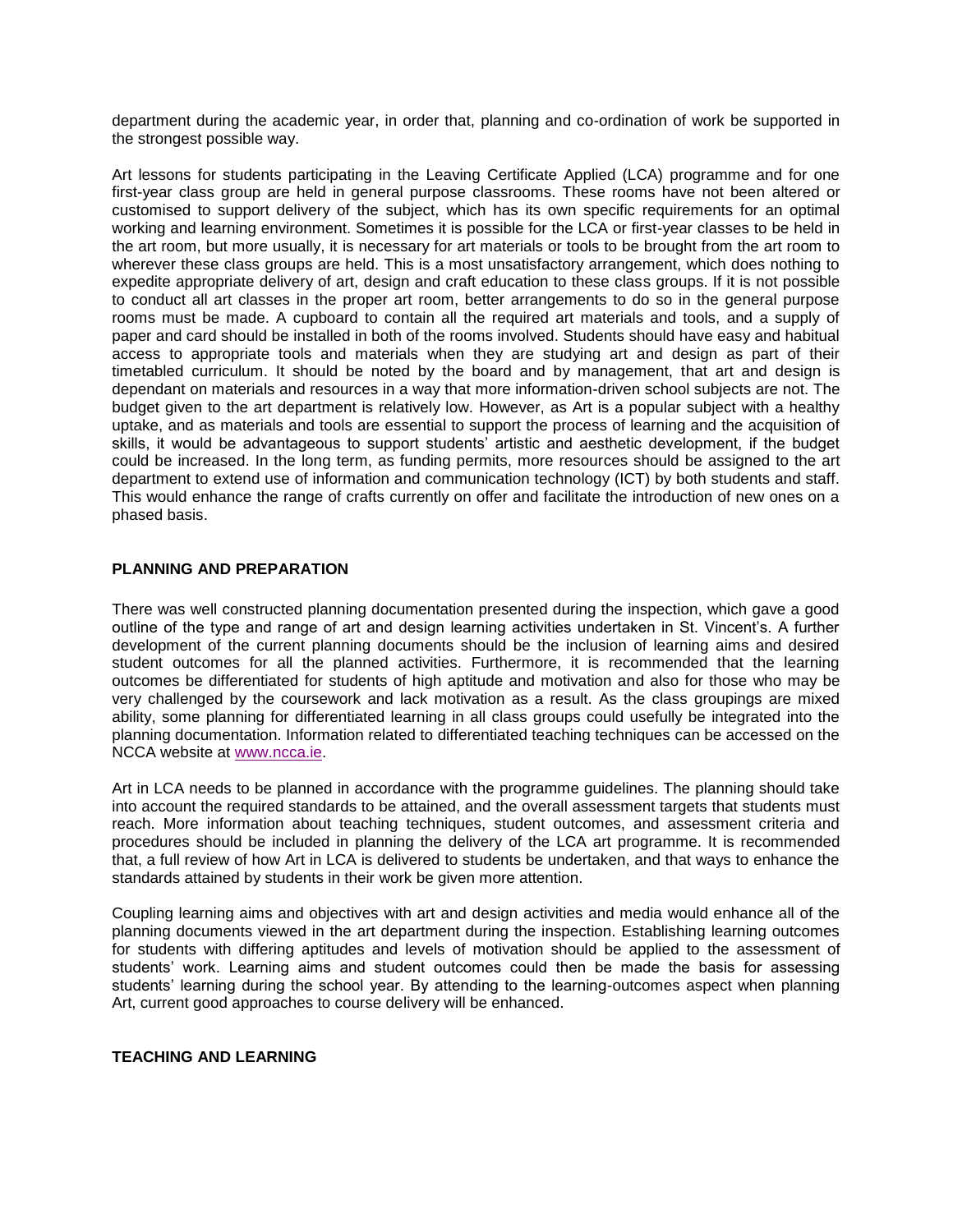department during the academic year, in order that, planning and co-ordination of work be supported in the strongest possible way.

Art lessons for students participating in the Leaving Certificate Applied (LCA) programme and for one first-year class group are held in general purpose classrooms. These rooms have not been altered or customised to support delivery of the subject, which has its own specific requirements for an optimal working and learning environment. Sometimes it is possible for the LCA or first-year classes to be held in the art room, but more usually, it is necessary for art materials or tools to be brought from the art room to wherever these class groups are held. This is a most unsatisfactory arrangement, which does nothing to expedite appropriate delivery of art, design and craft education to these class groups. If it is not possible to conduct all art classes in the proper art room, better arrangements to do so in the general purpose rooms must be made. A cupboard to contain all the required art materials and tools, and a supply of paper and card should be installed in both of the rooms involved. Students should have easy and habitual access to appropriate tools and materials when they are studying art and design as part of their timetabled curriculum. It should be noted by the board and by management, that art and design is dependant on materials and resources in a way that more information-driven school subjects are not. The budget given to the art department is relatively low. However, as Art is a popular subject with a healthy uptake, and as materials and tools are essential to support the process of learning and the acquisition of skills, it would be advantageous to support students' artistic and aesthetic development, if the budget could be increased. In the long term, as funding permits, more resources should be assigned to the art department to extend use of information and communication technology (ICT) by both students and staff. This would enhance the range of crafts currently on offer and facilitate the introduction of new ones on a phased basis.

## **PLANNING AND PREPARATION**

There was well constructed planning documentation presented during the inspection, which gave a good outline of the type and range of art and design learning activities undertaken in St. Vincent's. A further development of the current planning documents should be the inclusion of learning aims and desired student outcomes for all the planned activities. Furthermore, it is recommended that the learning outcomes be differentiated for students of high aptitude and motivation and also for those who may be very challenged by the coursework and lack motivation as a result. As the class groupings are mixed ability, some planning for differentiated learning in all class groups could usefully be integrated into the planning documentation. Information related to differentiated teaching techniques can be accessed on the NCCA website at [www.ncca.ie.](http://www.ncca.ie/)

Art in LCA needs to be planned in accordance with the programme guidelines. The planning should take into account the required standards to be attained, and the overall assessment targets that students must reach. More information about teaching techniques, student outcomes, and assessment criteria and procedures should be included in planning the delivery of the LCA art programme. It is recommended that, a full review of how Art in LCA is delivered to students be undertaken, and that ways to enhance the standards attained by students in their work be given more attention.

Coupling learning aims and objectives with art and design activities and media would enhance all of the planning documents viewed in the art department during the inspection. Establishing learning outcomes for students with differing aptitudes and levels of motivation should be applied to the assessment of students' work. Learning aims and student outcomes could then be made the basis for assessing students' learning during the school year. By attending to the learning-outcomes aspect when planning Art, current good approaches to course delivery will be enhanced.

#### **TEACHING AND LEARNING**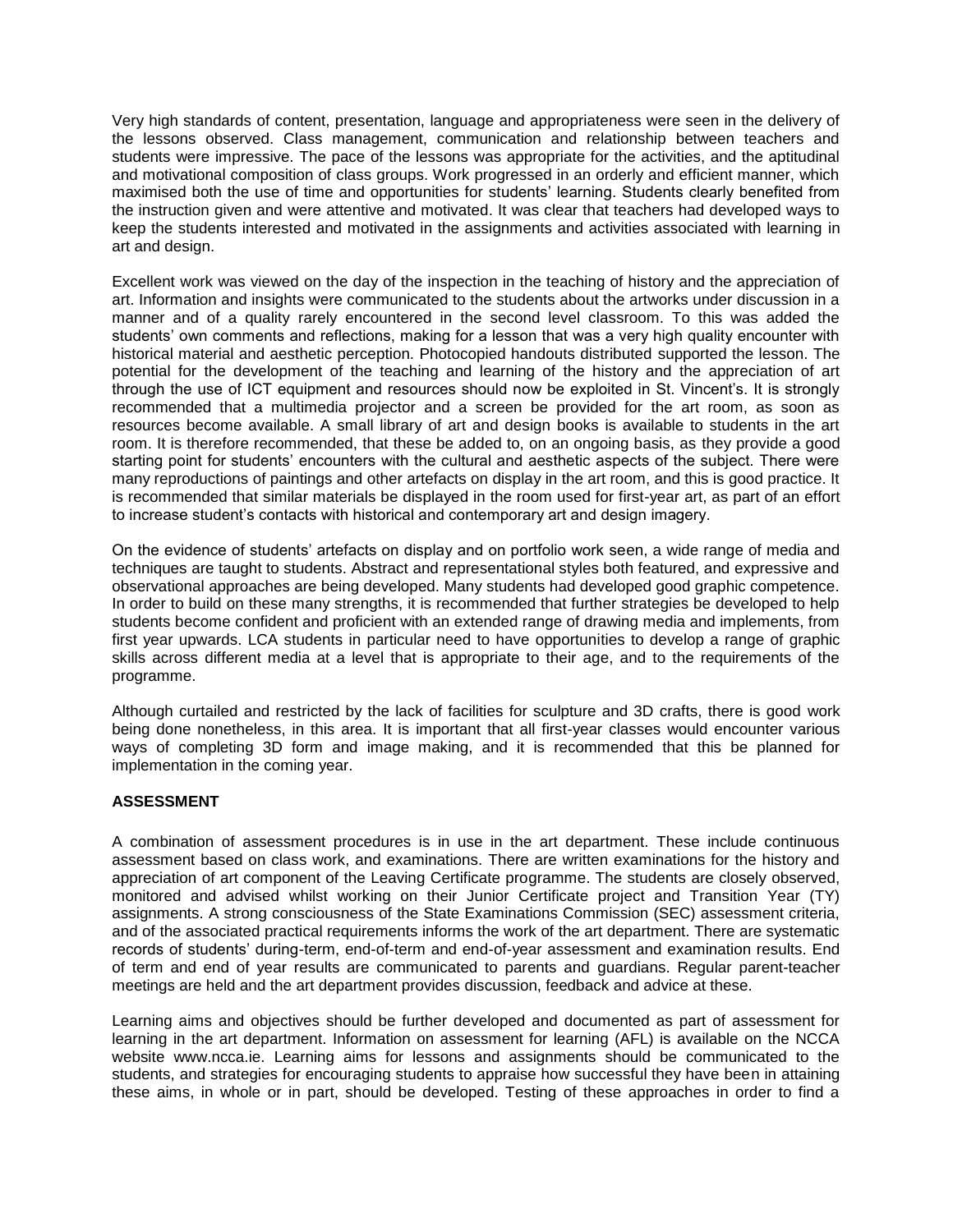Very high standards of content, presentation, language and appropriateness were seen in the delivery of the lessons observed. Class management, communication and relationship between teachers and students were impressive. The pace of the lessons was appropriate for the activities, and the aptitudinal and motivational composition of class groups. Work progressed in an orderly and efficient manner, which maximised both the use of time and opportunities for students' learning. Students clearly benefited from the instruction given and were attentive and motivated. It was clear that teachers had developed ways to keep the students interested and motivated in the assignments and activities associated with learning in art and design.

Excellent work was viewed on the day of the inspection in the teaching of history and the appreciation of art. Information and insights were communicated to the students about the artworks under discussion in a manner and of a quality rarely encountered in the second level classroom. To this was added the students' own comments and reflections, making for a lesson that was a very high quality encounter with historical material and aesthetic perception. Photocopied handouts distributed supported the lesson. The potential for the development of the teaching and learning of the history and the appreciation of art through the use of ICT equipment and resources should now be exploited in St. Vincent's. It is strongly recommended that a multimedia projector and a screen be provided for the art room, as soon as resources become available. A small library of art and design books is available to students in the art room. It is therefore recommended, that these be added to, on an ongoing basis, as they provide a good starting point for students' encounters with the cultural and aesthetic aspects of the subject. There were many reproductions of paintings and other artefacts on display in the art room, and this is good practice. It is recommended that similar materials be displayed in the room used for first-year art, as part of an effort to increase student's contacts with historical and contemporary art and design imagery.

On the evidence of students' artefacts on display and on portfolio work seen, a wide range of media and techniques are taught to students. Abstract and representational styles both featured, and expressive and observational approaches are being developed. Many students had developed good graphic competence. In order to build on these many strengths, it is recommended that further strategies be developed to help students become confident and proficient with an extended range of drawing media and implements, from first year upwards. LCA students in particular need to have opportunities to develop a range of graphic skills across different media at a level that is appropriate to their age, and to the requirements of the programme.

Although curtailed and restricted by the lack of facilities for sculpture and 3D crafts, there is good work being done nonetheless, in this area. It is important that all first-year classes would encounter various ways of completing 3D form and image making, and it is recommended that this be planned for implementation in the coming year.

#### **ASSESSMENT**

A combination of assessment procedures is in use in the art department. These include continuous assessment based on class work, and examinations. There are written examinations for the history and appreciation of art component of the Leaving Certificate programme. The students are closely observed, monitored and advised whilst working on their Junior Certificate project and Transition Year (TY) assignments. A strong consciousness of the State Examinations Commission (SEC) assessment criteria, and of the associated practical requirements informs the work of the art department. There are systematic records of students' during-term, end-of-term and end-of-year assessment and examination results. End of term and end of year results are communicated to parents and guardians. Regular parent-teacher meetings are held and the art department provides discussion, feedback and advice at these.

Learning aims and objectives should be further developed and documented as part of assessment for learning in the art department. Information on assessment for learning (AFL) is available on the NCCA website www.ncca.ie. Learning aims for lessons and assignments should be communicated to the students, and strategies for encouraging students to appraise how successful they have been in attaining these aims, in whole or in part, should be developed. Testing of these approaches in order to find a